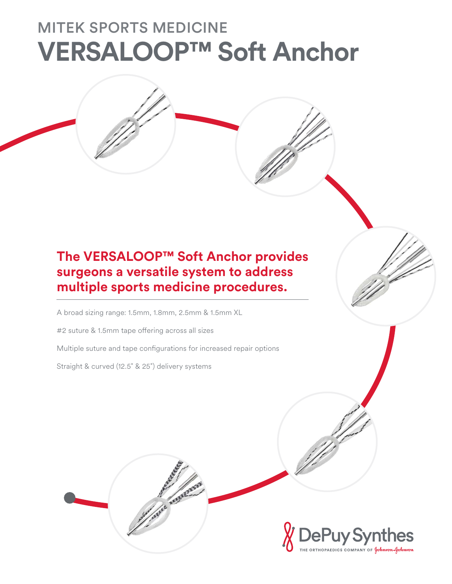## MITEK SPORTS MEDICINE **VERSALOOP™ Soft Anchor**

## **The VERSALOOP™ Soft Anchor provides surgeons a versatile system to address multiple sports medicine procedures.**

A broad sizing range: 1.5mm, 1.8mm, 2.5mm & 1.5mm XL

#2 suture & 1.5mm tape offering across all sizes

Multiple suture and tape configurations for increased repair options

Straight & curved (12.5˚ & 25˚) delivery systems